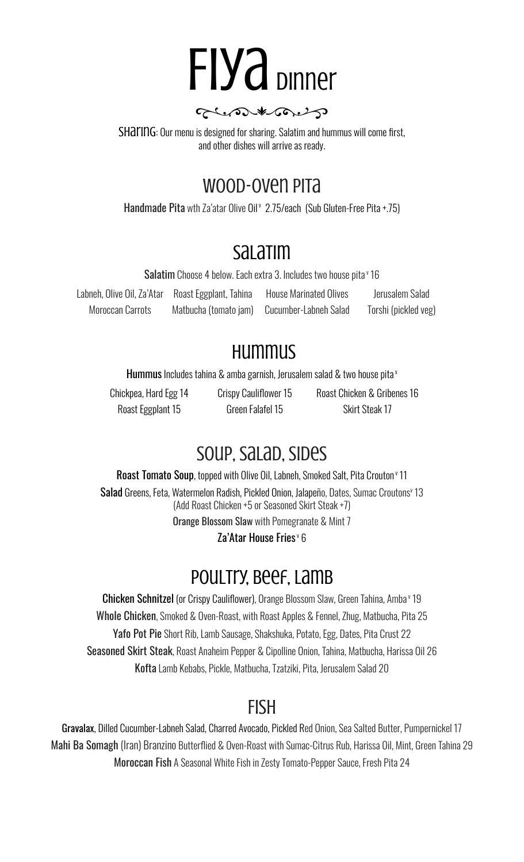

glene the

SHAIING: Our menu is designed for sharing. Salatim and hummus will come first, and other dishes will arrive as ready.

### Wood-Oven Pita

Handmade Pita wth Za'atar Olive Oil <sup>v</sup> 2.75/each (Sub Gluten-Free Pita +.75)

# Salatim

**Salatim** Choose 4 below. Each extra 3. Includes two house pita*v* 16

Labneh, Olive Oil, Za'Atar Roast Eggplant, Tahina House Marinated Olives Jerusalem Salad Moroccan Carrots Matbucha (tomato jam) Cucumber-Labneh Salad Torshi (pickled veg)

# **HUMMUS**

**Hummus** Includes tahina & amba garnish, Jerusalem salad & two house pita <sup>v</sup>

Roast Eggplant 15 **Green Falafel 15** Skirt Steak 17

Chickpea, Hard Egg 14 Crispy Cauliflower 15 Roast Chicken & Gribenes 16

# Soup, Salad, Sides

**Roast Tomato Soup**, topped with Olive Oil, Labneh, Smoked Salt, Pita Crouton<sup>,</sup> 11 Salad Greens, Feta, Watermelon Radish, Pickled Onion, Jalapeño, Dates, Sumac Croutons v 13 (Add Roast Chicken +5 or Seasoned Skirt Steak +7) Orange Blossom Slaw with Pomegranate & Mint 7

Za'Atar House Fries<sub>≚</sub> 6

# Poultry, beef, Lamb

**Chicken Schnitzel** (or Crispy Cauliflower), Orange Blossom Slaw, Green Tahina, Amba*'*' 19 Whole Chicken, Smoked & Oven-Roast, with Roast Apples & Fennel, Zhug, Matbucha, Pita 25 Yafo Pot Pie Short Rib, Lamb Sausage, Shakshuka, Potato, Egg, Dates, Pita Crust 22 Seasoned Skirt Steak, Roast Anaheim Pepper & Cipolline Onion, Tahina, Matbucha, Harissa Oil 26 Kofta Lamb Kebabs, Pickle, Matbucha, Tzatziki, Pita, Jerusalem Salad 20

### Fish

Gravalax, Dilled Cucumber-Labneh Salad, Charred Avocado, Pickled Red Onion, Sea Salted Butter, Pumpernickel 17 Mahi Ba Somagh (Iran) Branzino Butterflied & Oven-Roast with Sumac-Citrus Rub, Harissa Oil, Mint, Green Tahina 29 Moroccan Fish A Seasonal White Fish in Zesty Tomato-Pepper Sauce, Fresh Pita 24